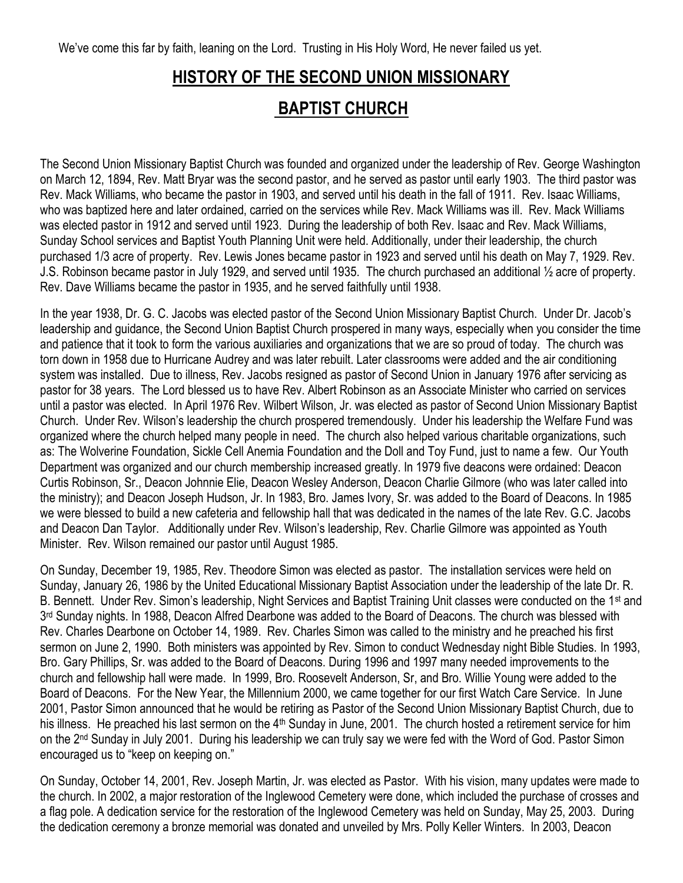We've come this far by faith, leaning on the Lord. Trusting in His Holy Word, He never failed us yet.

## **HISTORY OF THE SECOND UNION MISSIONARY BAPTIST CHURCH**

The Second Union Missionary Baptist Church was founded and organized under the leadership of Rev. George Washington on March 12, 1894, Rev. Matt Bryar was the second pastor, and he served as pastor until early 1903. The third pastor was Rev. Mack Williams, who became the pastor in 1903, and served until his death in the fall of 1911. Rev. Isaac Williams, who was baptized here and later ordained, carried on the services while Rev. Mack Williams was ill. Rev. Mack Williams was elected pastor in 1912 and served until 1923. During the leadership of both Rev. Isaac and Rev. Mack Williams, Sunday School services and Baptist Youth Planning Unit were held. Additionally, under their leadership, the church purchased 1/3 acre of property. Rev. Lewis Jones became pastor in 1923 and served until his death on May 7, 1929. Rev. J.S. Robinson became pastor in July 1929, and served until 1935. The church purchased an additional ½ acre of property. Rev. Dave Williams became the pastor in 1935, and he served faithfully until 1938.

In the year 1938, Dr. G. C. Jacobs was elected pastor of the Second Union Missionary Baptist Church. Under Dr. Jacob's leadership and guidance, the Second Union Baptist Church prospered in many ways, especially when you consider the time and patience that it took to form the various auxiliaries and organizations that we are so proud of today. The church was torn down in 1958 due to Hurricane Audrey and was later rebuilt. Later classrooms were added and the air conditioning system was installed. Due to illness, Rev. Jacobs resigned as pastor of Second Union in January 1976 after servicing as pastor for 38 years. The Lord blessed us to have Rev. Albert Robinson as an Associate Minister who carried on services until a pastor was elected. In April 1976 Rev. Wilbert Wilson, Jr. was elected as pastor of Second Union Missionary Baptist Church. Under Rev. Wilson's leadership the church prospered tremendously. Under his leadership the Welfare Fund was organized where the church helped many people in need. The church also helped various charitable organizations, such as: The Wolverine Foundation, Sickle Cell Anemia Foundation and the Doll and Toy Fund, just to name a few. Our Youth Department was organized and our church membership increased greatly. In 1979 five deacons were ordained: Deacon Curtis Robinson, Sr., Deacon Johnnie Elie, Deacon Wesley Anderson, Deacon Charlie Gilmore (who was later called into the ministry); and Deacon Joseph Hudson, Jr. In 1983, Bro. James Ivory, Sr. was added to the Board of Deacons. In 1985 we were blessed to build a new cafeteria and fellowship hall that was dedicated in the names of the late Rev. G.C. Jacobs and Deacon Dan Taylor. Additionally under Rev. Wilson's leadership, Rev. Charlie Gilmore was appointed as Youth Minister. Rev. Wilson remained our pastor until August 1985.

On Sunday, December 19, 1985, Rev. Theodore Simon was elected as pastor. The installation services were held on Sunday, January 26, 1986 by the United Educational Missionary Baptist Association under the leadership of the late Dr. R. B. Bennett. Under Rev. Simon's leadership, Night Services and Baptist Training Unit classes were conducted on the 1st and 3<sup>rd</sup> Sunday nights. In 1988, Deacon Alfred Dearbone was added to the Board of Deacons. The church was blessed with Rev. Charles Dearbone on October 14, 1989. Rev. Charles Simon was called to the ministry and he preached his first sermon on June 2, 1990. Both ministers was appointed by Rev. Simon to conduct Wednesday night Bible Studies. In 1993, Bro. Gary Phillips, Sr. was added to the Board of Deacons. During 1996 and 1997 many needed improvements to the church and fellowship hall were made. In 1999, Bro. Roosevelt Anderson, Sr, and Bro. Willie Young were added to the Board of Deacons. For the New Year, the Millennium 2000, we came together for our first Watch Care Service. In June 2001, Pastor Simon announced that he would be retiring as Pastor of the Second Union Missionary Baptist Church, due to his illness. He preached his last sermon on the 4<sup>th</sup> Sunday in June, 2001. The church hosted a retirement service for him on the 2<sup>nd</sup> Sunday in July 2001. During his leadership we can truly say we were fed with the Word of God. Pastor Simon encouraged us to "keep on keeping on."

On Sunday, October 14, 2001, Rev. Joseph Martin, Jr. was elected as Pastor. With his vision, many updates were made to the church. In 2002, a major restoration of the Inglewood Cemetery were done, which included the purchase of crosses and a flag pole. A dedication service for the restoration of the Inglewood Cemetery was held on Sunday, May 25, 2003. During the dedication ceremony a bronze memorial was donated and unveiled by Mrs. Polly Keller Winters. In 2003, Deacon